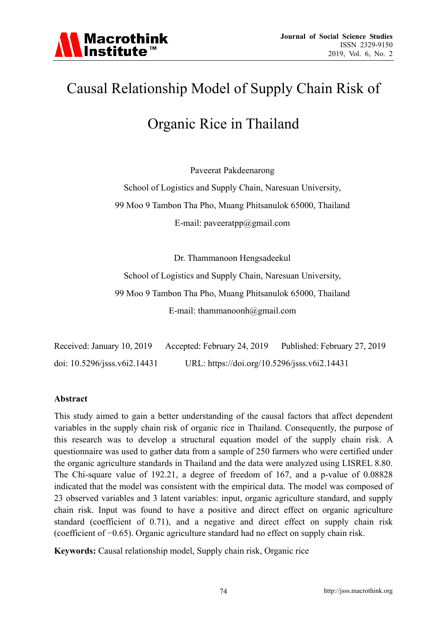

# Causal Relationship Model of Supply Chain Risk of

# Organic Rice in Thailand

Paveerat Pakdeenarong

School of Logistics and Supply Chain, Naresuan University, 99 Moo 9 Tambon Tha Pho, Muang Phitsanulok 65000, Thailand E-mail: paveeratpp@gmail.com

Dr. Thammanoon Hengsadeekul School of Logistics and Supply Chain, Naresuan University, 99 Moo 9 Tambon Tha Pho, Muang Phitsanulok 65000, Thailand E-mail: thammanoonh@gmail.com

| Received: January 10, 2019   | Accepted: February 24, 2019                  | Published: February 27, 2019 |
|------------------------------|----------------------------------------------|------------------------------|
| doi: 10.5296/jsss.v6i2.14431 | URL: https://doi.org/10.5296/jsss.v6i2.14431 |                              |

#### **Abstract**

This study aimed to gain a better understanding of the causal factors that affect dependent variables in the supply chain risk of organic rice in Thailand. Consequently, the purpose of this research was to develop a structural equation model of the supply chain risk. A questionnaire was used to gather data from a sample of 250 farmers who were certified under the organic agriculture standards in Thailand and the data were analyzed using LISREL 8.80. The Chi-square value of 192.21, a degree of freedom of 167, and a p-value of 0.08828 indicated that the model was consistent with the empirical data. The model was composed of 23 observed variables and 3 latent variables: input, organic agriculture standard, and supply chain risk. Input was found to have a positive and direct effect on organic agriculture standard (coefficient of 0.71), and a negative and direct effect on supply chain risk (coefficient of −0.65). Organic agriculture standard had no effect on supply chain risk.

**Keywords:** Causal relationship model, Supply chain risk, Organic rice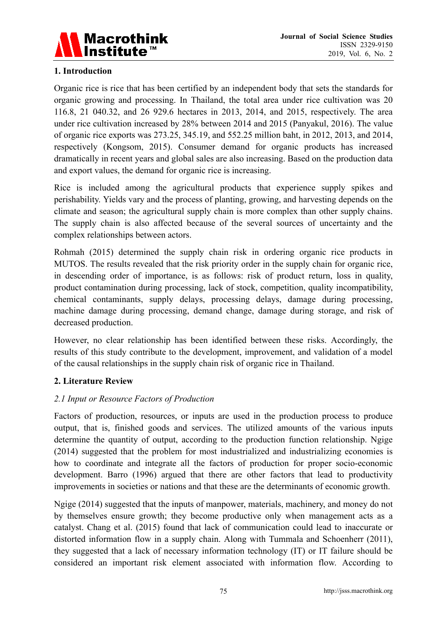

## **1. Introduction**

Organic rice is rice that has been certified by an independent body that sets the standards for organic growing and processing. In Thailand, the total area under rice cultivation was 20 116.8, 21 040.32, and 26 929.6 hectares in 2013, 2014, and 2015, respectively. The area under rice cultivation increased by 28% between 2014 and 2015 (Panyakul, 2016). The value of organic rice exports was 273.25, 345.19, and 552.25 million baht, in 2012, 2013, and 2014, respectively (Kongsom, 2015). Consumer demand for organic products has increased dramatically in recent years and global sales are also increasing. Based on the production data and export values, the demand for organic rice is increasing.

Rice is included among the agricultural products that experience supply spikes and perishability. Yields vary and the process of planting, growing, and harvesting depends on the climate and season; the agricultural supply chain is more complex than other supply chains. The supply chain is also affected because of the several sources of uncertainty and the complex relationships between actors.

Rohmah (2015) determined the supply chain risk in ordering organic rice products in MUTOS. The results revealed that the risk priority order in the supply chain for organic rice, in descending order of importance, is as follows: risk of product return, loss in quality, product contamination during processing, lack of stock, competition, quality incompatibility, chemical contaminants, supply delays, processing delays, damage during processing, machine damage during processing, demand change, damage during storage, and risk of decreased production.

However, no clear relationship has been identified between these risks. Accordingly, the results of this study contribute to the development, improvement, and validation of a model of the causal relationships in the supply chain risk of organic rice in Thailand.

## **2. Literature Review**

## *2.1 Input or Resource Factors of Production*

Factors of production, resources, or inputs are used in the production process to produce output, that is, finished goods and services. The utilized amounts of the various inputs determine the quantity of output, according to the production function relationship. Ngige (2014) suggested that the problem for most industrialized and industrializing economies is how to coordinate and integrate all the factors of production for proper socio-economic development. Barro (1996) argued that there are other factors that lead to productivity improvements in societies or nations and that these are the determinants of economic growth.

Ngige (2014) suggested that the inputs of manpower, materials, machinery, and money do not by themselves ensure growth; they become productive only when management acts as a catalyst. Chang et al. (2015) found that lack of communication could lead to inaccurate or distorted information flow in a supply chain. Along with Tummala and Schoenherr (2011), they suggested that a lack of necessary information technology (IT) or IT failure should be considered an important risk element associated with information flow. According to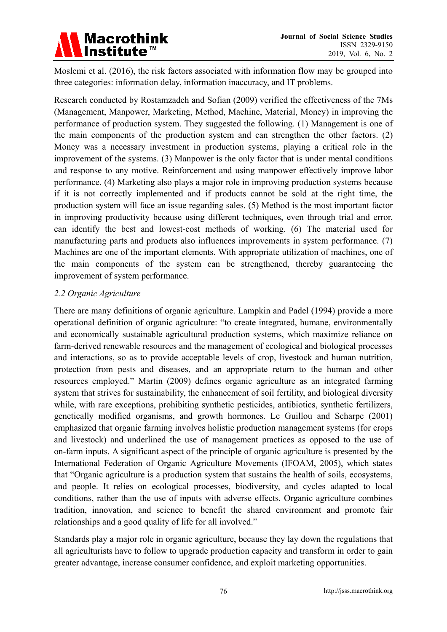

Moslemi et al. (2016), the risk factors associated with information flow may be grouped into three categories: information delay, information inaccuracy, and IT problems.

Research conducted by Rostamzadeh and Sofian (2009) verified the effectiveness of the 7Ms (Management, Manpower, Marketing, Method, Machine, Material, Money) in improving the performance of production system. They suggested the following. (1) Management is one of the main components of the production system and can strengthen the other factors. (2) Money was a necessary investment in production systems, playing a critical role in the improvement of the systems. (3) Manpower is the only factor that is under mental conditions and response to any motive. Reinforcement and using manpower effectively improve labor performance. (4) Marketing also plays a major role in improving production systems because if it is not correctly implemented and if products cannot be sold at the right time, the production system will face an issue regarding sales. (5) Method is the most important factor in improving productivity because using different techniques, even through trial and error, can identify the best and lowest-cost methods of working. (6) The material used for manufacturing parts and products also influences improvements in system performance. (7) Machines are one of the important elements. With appropriate utilization of machines, one of the main components of the system can be strengthened, thereby guaranteeing the improvement of system performance.

#### *2.2 Organic Agriculture*

There are many definitions of organic agriculture. Lampkin and Padel (1994) provide a more operational definition of organic agriculture: "to create integrated, humane, environmentally and economically sustainable agricultural production systems, which maximize reliance on farm-derived renewable resources and the management of ecological and biological processes and interactions, so as to provide acceptable levels of crop, livestock and human nutrition, protection from pests and diseases, and an appropriate return to the human and other resources employed." Martin (2009) defines organic agriculture as an integrated farming system that strives for sustainability, the enhancement of soil fertility, and biological diversity while, with rare exceptions, prohibiting synthetic pesticides, antibiotics, synthetic fertilizers, genetically modified organisms, and growth hormones. Le Guillou and Scharpe (2001) emphasized that organic farming involves holistic production management systems (for crops and livestock) and underlined the use of management practices as opposed to the use of on-farm inputs. A significant aspect of the principle of organic agriculture is presented by the International Federation of Organic Agriculture Movements (IFOAM, 2005), which states that "Organic agriculture is a production system that sustains the health of soils, ecosystems, and people. It relies on ecological processes, biodiversity, and cycles adapted to local conditions, rather than the use of inputs with adverse effects. Organic agriculture combines tradition, innovation, and science to benefit the shared environment and promote fair relationships and a good quality of life for all involved."

Standards play a major role in organic agriculture, because they lay down the regulations that all agriculturists have to follow to upgrade production capacity and transform in order to gain greater advantage, increase consumer confidence, and exploit marketing opportunities.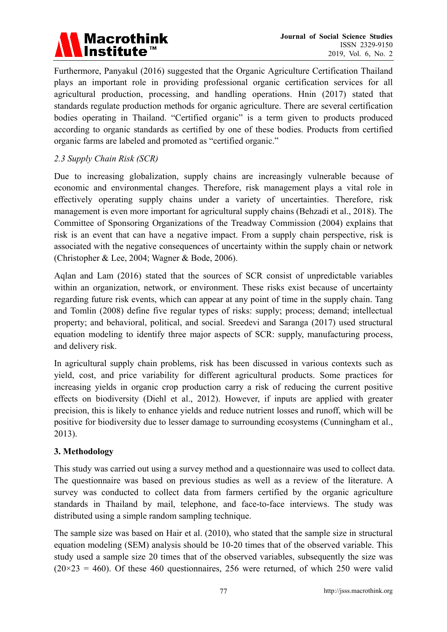

Furthermore, Panyakul (2016) suggested that the Organic Agriculture Certification Thailand plays an important role in providing professional organic certification services for all agricultural production, processing, and handling operations. Hnin (2017) stated that standards regulate production methods for organic agriculture. There are several certification bodies operating in Thailand. "Certified organic" is a term given to products produced according to organic standards as certified by one of these bodies. Products from certified organic farms are labeled and promoted as "certified organic."

## *2.3 Supply Chain Risk (SCR)*

Due to increasing globalization, supply chains are increasingly vulnerable because of economic and environmental changes. Therefore, risk management plays a vital role in effectively operating supply chains under a variety of uncertainties. Therefore, risk management is even more important for agricultural supply chains (Behzadi et al., 2018). The Committee of Sponsoring Organizations of the Treadway Commission (2004) explains that risk is an event that can have a negative impact. From a supply chain perspective, risk is associated with the negative consequences of uncertainty within the supply chain or network (Christopher & Lee, 2004; Wagner & Bode, 2006).

Aqlan and Lam (2016) stated that the sources of SCR consist of unpredictable variables within an organization, network, or environment. These risks exist because of uncertainty regarding future risk events, which can appear at any point of time in the supply chain. Tang and Tomlin (2008) define five regular types of risks: supply; process; demand; intellectual property; and behavioral, political, and social. Sreedevi and Saranga (2017) used structural equation modeling to identify three major aspects of SCR: supply, manufacturing process, and delivery risk.

In agricultural supply chain problems, risk has been discussed in various contexts such as yield, cost, and price variability for different agricultural products. Some practices for increasing yields in organic crop production carry a risk of reducing the current positive effects on biodiversity (Diehl et al., 2012). However, if inputs are applied with greater precision, this is likely to enhance yields and reduce nutrient losses and runoff, which will be positive for biodiversity due to lesser damage to surrounding ecosystems (Cunningham et al., 2013).

## **3. Methodology**

This study was carried out using a survey method and a questionnaire was used to collect data. The questionnaire was based on previous studies as well as a review of the literature. A survey was conducted to collect data from farmers certified by the organic agriculture standards in Thailand by mail, telephone, and face-to-face interviews. The study was distributed using a simple random sampling technique.

The sample size was based on Hair et al. (2010), who stated that the sample size in structural equation modeling (SEM) analysis should be 10-20 times that of the observed variable. This study used a sample size 20 times that of the observed variables, subsequently the size was  $(20\times23 = 460)$ . Of these 460 questionnaires, 256 were returned, of which 250 were valid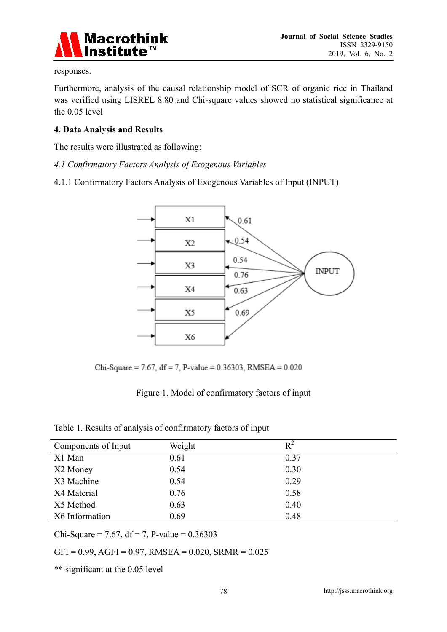

responses.

Furthermore, analysis of the causal relationship model of SCR of organic rice in Thailand was verified using LISREL 8.80 and Chi-square values showed no statistical significance at the 0.05 level

#### **4. Data Analysis and Results**

The results were illustrated as following:

- *4.1 Confirmatory Factors Analysis of Exogenous Variables*
- 4.1.1 Confirmatory Factors Analysis of Exogenous Variables of Input (INPUT)



Chi-Square = 7.67, df = 7, P-value = 0.36303, RMSEA =  $0.020$ 

#### Figure 1. Model of confirmatory factors of input

Table 1. Results of analysis of confirmatory factors of input

| Components of Input | Weight | $R^2$ |
|---------------------|--------|-------|
| X1 Man              | 0.61   | 0.37  |
| X2 Money            | 0.54   | 0.30  |
| X3 Machine          | 0.54   | 0.29  |
| X4 Material         | 0.76   | 0.58  |
| X5 Method           | 0.63   | 0.40  |
| X6 Information      | 0.69   | 0.48  |

Chi-Square = 7.67, df = 7, P-value =  $0.36303$ 

 $GFI = 0.99, AGFI = 0.97, RMSEA = 0.020, SRMR = 0.025$ 

\*\* significant at the 0.05 level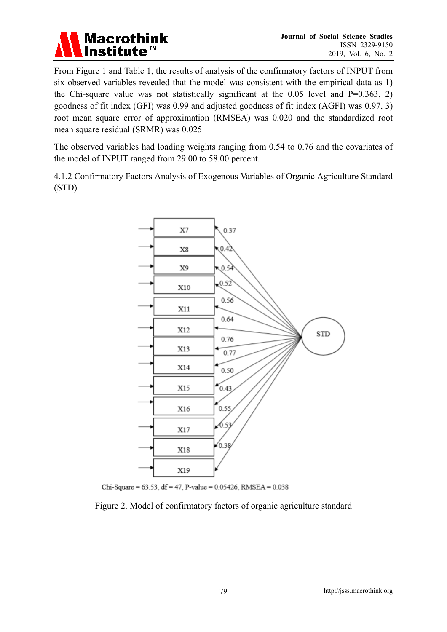

From Figure 1 and Table 1, the results of analysis of the confirmatory factors of INPUT from six observed variables revealed that the model was consistent with the empirical data as 1) the Chi-square value was not statistically significant at the  $0.05$  level and  $P=0.363, 2$ ) goodness of fit index (GFI) was 0.99 and adjusted goodness of fit index (AGFI) was 0.97, 3) root mean square error of approximation (RMSEA) was 0.020 and the standardized root mean square residual (SRMR) was 0.025

The observed variables had loading weights ranging from 0.54 to 0.76 and the covariates of the model of INPUT ranged from 29.00 to 58.00 percent.

4.1.2 Confirmatory Factors Analysis of Exogenous Variables of Organic Agriculture Standard (STD)





Figure 2. Model of confirmatory factors of organic agriculture standard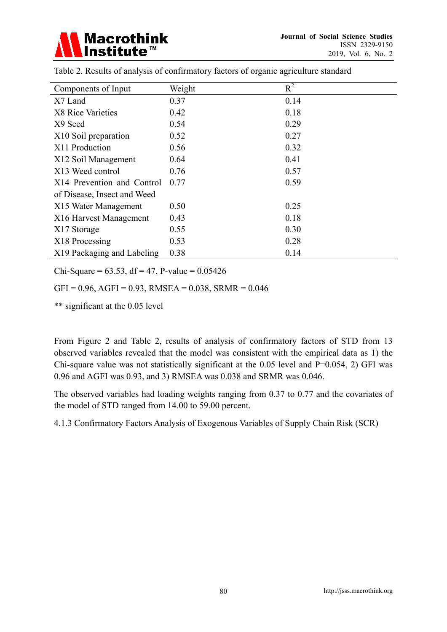

| Components of Input         | Weight | $R^2$ |
|-----------------------------|--------|-------|
| X7 Land                     | 0.37   | 0.14  |
| X8 Rice Varieties           | 0.42   | 0.18  |
| X9 Seed                     | 0.54   | 0.29  |
| X10 Soil preparation        | 0.52   | 0.27  |
| X11 Production              | 0.56   | 0.32  |
| X12 Soil Management         | 0.64   | 0.41  |
| X13 Weed control            | 0.76   | 0.57  |
| X14 Prevention and Control  | 0.77   | 0.59  |
| of Disease, Insect and Weed |        |       |
| X15 Water Management        | 0.50   | 0.25  |
| X16 Harvest Management      | 0.43   | 0.18  |
| X17 Storage                 | 0.55   | 0.30  |
| X18 Processing              | 0.53   | 0.28  |
| X19 Packaging and Labeling  | 0.38   | 0.14  |

Table 2. Results of analysis of confirmatory factors of organic agriculture standard

Chi-Square =  $63.53$ , df =  $47$ , P-value =  $0.05426$ 

 $GFI = 0.96$ ,  $AGFI = 0.93$ ,  $RMSEA = 0.038$ ,  $SRMR = 0.046$ 

\*\* significant at the 0.05 level

From Figure 2 and Table 2, results of analysis of confirmatory factors of STD from 13 observed variables revealed that the model was consistent with the empirical data as 1) the Chi-square value was not statistically significant at the  $0.05$  level and  $P=0.054$ , 2) GFI was 0.96 and AGFI was 0.93, and 3) RMSEA was 0.038 and SRMR was 0.046.

The observed variables had loading weights ranging from 0.37 to 0.77 and the covariates of the model of STD ranged from 14.00 to 59.00 percent.

4.1.3 Confirmatory Factors Analysis of Exogenous Variables of Supply Chain Risk (SCR)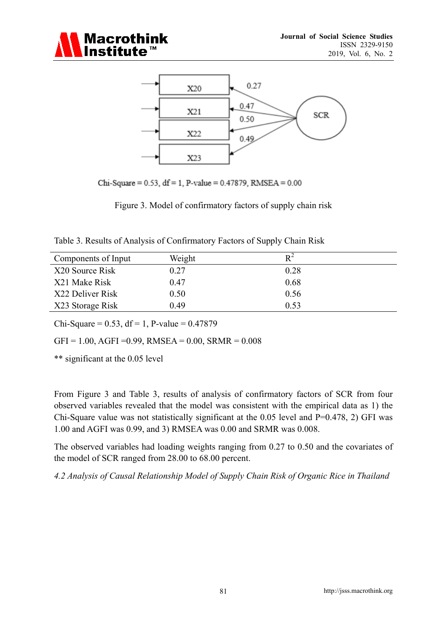



Chi-Square =  $0.53$ , df = 1, P-value =  $0.47879$ , RMSEA =  $0.00$ 

Figure 3. Model of confirmatory factors of supply chain risk

Table 3. Results of Analysis of Confirmatory Factors of Supply Chain Risk

| Components of Input | Weight | $\mathbf{R}^2$ |
|---------------------|--------|----------------|
| X20 Source Risk     | 0.27   | 0.28           |
| X21 Make Risk       | 0.47   | 0.68           |
| X22 Deliver Risk    | 0.50   | 0.56           |
| X23 Storage Risk    | 0.49   | 0.53           |

Chi-Square =  $0.53$ , df = 1, P-value =  $0.47879$ 

 $GFI = 1.00$ ,  $AGFI = 0.99$ ,  $RMSEA = 0.00$ ,  $SRMR = 0.008$ 

\*\* significant at the 0.05 level

From Figure 3 and Table 3, results of analysis of confirmatory factors of SCR from four observed variables revealed that the model was consistent with the empirical data as 1) the Chi-Square value was not statistically significant at the  $0.05$  level and  $P=0.478$ , 2) GFI was 1.00 and AGFI was 0.99, and 3) RMSEA was 0.00 and SRMR was 0.008.

The observed variables had loading weights ranging from 0.27 to 0.50 and the covariates of the model of SCR ranged from 28.00 to 68.00 percent.

*4.2 Analysis of Causal Relationship Model of Supply Chain Risk of Organic Rice in Thailand*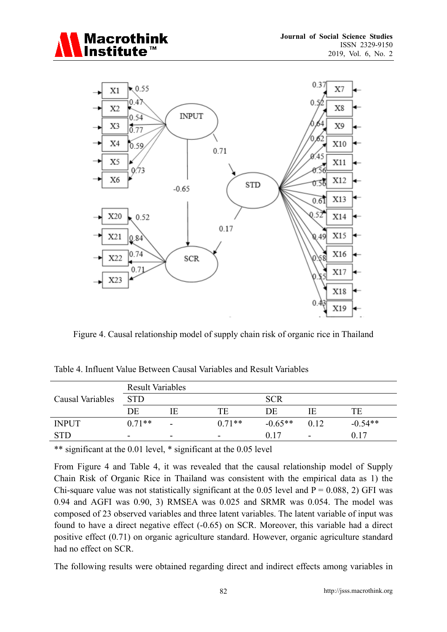



Figure 4. Causal relationship model of supply chain risk of organic rice in Thailand

| Table 4. Influent Value Between Causal Variables and Result Variables |  |  |  |
|-----------------------------------------------------------------------|--|--|--|
|                                                                       |  |  |  |

|                         | <b>Result Variables</b>  |                          |          |            |                          |           |
|-------------------------|--------------------------|--------------------------|----------|------------|--------------------------|-----------|
| <b>Causal Variables</b> | <b>STD</b>               |                          |          | <b>SCR</b> |                          |           |
|                         | DE                       | IΕ                       | TF.      | DE         | ΙF                       | TE        |
| <b>INPUT</b>            | $0.71**$                 | -                        | $0.71**$ | $-0.65**$  | 0.12                     | $-0.54**$ |
| <b>STD</b>              | $\overline{\phantom{0}}$ | $\overline{\phantom{0}}$ | -        | 0.17       | $\overline{\phantom{a}}$ | 0.17      |

\*\* significant at the 0.01 level, \* significant at the 0.05 level

From Figure 4 and Table 4, it was revealed that the causal relationship model of Supply Chain Risk of Organic Rice in Thailand was consistent with the empirical data as 1) the Chi-square value was not statistically significant at the 0.05 level and  $P = 0.088$ , 2) GFI was 0.94 and AGFI was 0.90, 3) RMSEA was 0.025 and SRMR was 0.054. The model was composed of 23 observed variables and three latent variables. The latent variable of input was found to have a direct negative effect (-0.65) on SCR. Moreover, this variable had a direct positive effect (0.71) on organic agriculture standard. However, organic agriculture standard had no effect on SCR.

The following results were obtained regarding direct and indirect effects among variables in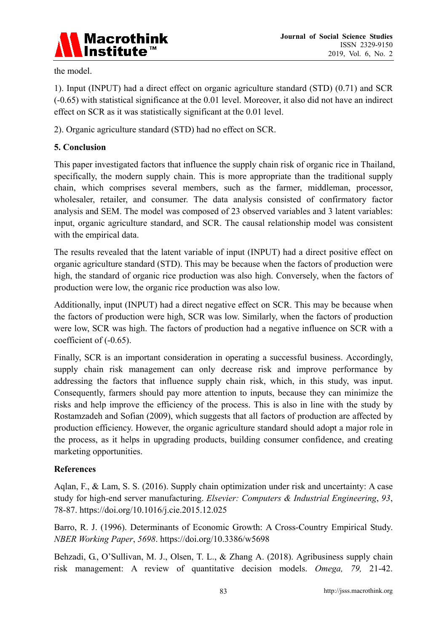

the model.

1). Input (INPUT) had a direct effect on organic agriculture standard (STD) (0.71) and SCR (-0.65) with statistical significance at the 0.01 level. Moreover, it also did not have an indirect effect on SCR as it was statistically significant at the 0.01 level.

2). Organic agriculture standard (STD) had no effect on SCR.

## **5. Conclusion**

This paper investigated factors that influence the supply chain risk of organic rice in Thailand, specifically, the modern supply chain. This is more appropriate than the traditional supply chain, which comprises several members, such as the farmer, middleman, processor, wholesaler, retailer, and consumer. The data analysis consisted of confirmatory factor analysis and SEM. The model was composed of 23 observed variables and 3 latent variables: input, organic agriculture standard, and SCR. The causal relationship model was consistent with the empirical data.

The results revealed that the latent variable of input (INPUT) had a direct positive effect on organic agriculture standard (STD). This may be because when the factors of production were high, the standard of organic rice production was also high. Conversely, when the factors of production were low, the organic rice production was also low.

Additionally, input (INPUT) had a direct negative effect on SCR. This may be because when the factors of production were high, SCR was low. Similarly, when the factors of production were low, SCR was high. The factors of production had a negative influence on SCR with a coefficient of (-0.65).

Finally, SCR is an important consideration in operating a successful business. Accordingly, supply chain risk management can only decrease risk and improve performance by addressing the factors that influence supply chain risk, which, in this study, was input. Consequently, farmers should pay more attention to inputs, because they can minimize the risks and help improve the efficiency of the process. This is also in line with the study by Rostamzadeh and Sofian (2009), which suggests that all factors of production are affected by production efficiency. However, the organic agriculture standard should adopt a major role in the process, as it helps in upgrading products, building consumer confidence, and creating marketing opportunities.

## **References**

Aqlan, F., & Lam, S. S. (2016). Supply chain optimization under risk and uncertainty: A case study for high-end server manufacturing. *Elsevier: Computers & Industrial Engineering*, *93*, 78-87. https://doi.org/10.1016/j.cie.2015.12.025

Barro, R. J. (1996). Determinants of Economic Growth: A Cross-Country Empirical Study. *NBER Working Paper*, *5698*. https://doi.org/10.3386/w5698

Behzadi, G., O'Sullivan, M. J., Olsen, T. L., & Zhang A. (2018). Agribusiness supply chain risk management: A review of quantitative decision models. *Omega, 79,* 21-42.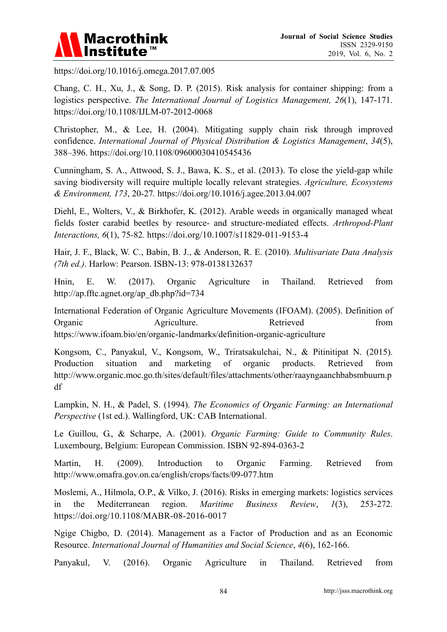

https://doi.org/10.1016/j.omega.2017.07.005

Chang, C. H., Xu, J., & Song, D. P. (2015). Risk analysis for container shipping: from a logistics perspective. *The International Journal of Logistics Management, 26*(1), 147-171. https://doi.org/10.1108/IJLM-07-2012-0068

Christopher, M., & Lee, H. (2004). Mitigating supply chain risk through improved confidence. *International Journal of Physical Distribution & Logistics Management*, *34*(5), 388–396. https://doi.org/10.1108/09600030410545436

Cunningham, S. A., Attwood, S. J., Bawa, K. S., et al. (2013). To close the yield-gap while saving biodiversity will require multiple locally relevant strategies. *Agriculture, Ecosystems & Environment, 173*, 20-27*.* https://doi.org/10.1016/j.agee.2013.04.007

Diehl, E., Wolters, V., & Birkhofer, K. (2012). Arable weeds in organically managed wheat fields foster carabid beetles by resource- and structure-mediated effects. *Arthropod-Plant Interactions, 6*(1), 75-82*.* https://doi.org/10.1007/s11829-011-9153-4

Hair, J. F., Black, W. C., Babin, B. J., & Anderson, R. E. (2010). *Multivariate Data Analysis (7th ed.)*. Harlow: Pearson. ISBN-13: 978-0138132637

Hnin, E. W. (2017). Organic Agriculture in Thailand. Retrieved from http://ap.fftc.agnet.org/ap\_db.php?id=734

International Federation of Organic Agriculture Movements (IFOAM). (2005). Definition of Organic Agriculture. Agriculture. Retrieved from https://www.ifoam.bio/en/organic-landmarks/definition-organic-agriculture

Kongsom, C., Panyakul, V., Kongsom, W., Triratsakulchai, N., & Pitinitipat N. (2015). Production situation and marketing of organic products. Retrieved from http://www.organic.moc.go.th/sites/default/files/attachments/other/raayngaanchbabsmbuurn.p df

Lampkin, N. H., & Padel, S. (1994). *The Economics of Organic Farming: an International Perspective* (1st ed.). Wallingford, UK: CAB International.

Le Guillou, G., & Scharpe, A. (2001). *Organic Farming: Guide to Community Rules*. Luxembourg, Belgium: European Commission. ISBN 92-894-0363-2

Martin, H. (2009). Introduction to Organic Farming. Retrieved from http://www.omafra.gov.on.ca/english/crops/facts/09-077.htm

Moslemi, A., Hilmola, O.P., & Vilko, J. (2016). Risks in emerging markets: logistics services in the Mediterranean region. *Maritime Business Review*, *1*(3), 253-272. https://doi.org/10.1108/MABR-08-2016-0017

Ngige Chigbo, D. (2014). Management as a Factor of Production and as an Economic Resource. *International Journal of Humanities and Social Science*, *4*(6), 162-166.

Panyakul, V. (2016). Organic Agriculture in Thailand. Retrieved from